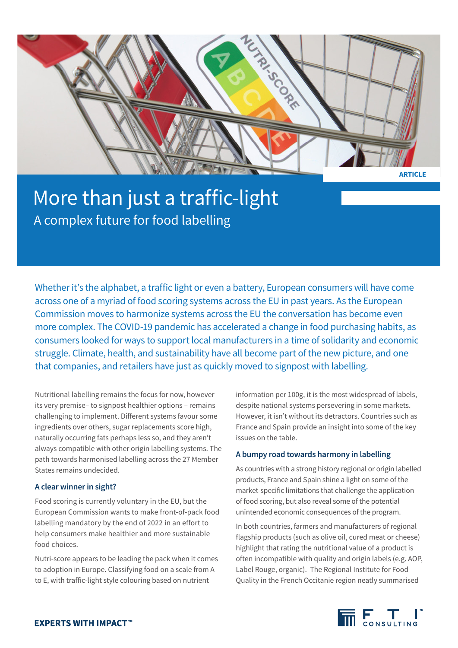

# More than just a traffic-light A complex future for food labelling

Whether it's the alphabet, a traffic light or even a battery, European consumers will have come across one of a myriad of food scoring systems across the EU in past years. As the European Commission moves to harmonize systems across the EU the conversation has become even more complex. The COVID-19 pandemic has accelerated a change in food purchasing habits, as consumers looked for ways to support local manufacturers in a time of solidarity and economic struggle. Climate, health, and sustainability have all become part of the new picture, and one that companies, and retailers have just as quickly moved to signpost with labelling.

Nutritional labelling remains the focus for now, however its very premise– to signpost healthier options – remains challenging to implement. Different systems favour some ingredients over others, sugar replacements score high, naturally occurring fats perhaps less so, and they aren't always compatible with other origin labelling systems. The path towards harmonised labelling across the 27 Member States remains undecided.

# **A clear winner in sight?**

Food scoring is currently voluntary in the EU, but the European Commission wants to make front-of-pack food labelling mandatory by the end of 2022 in an effort to help consumers make healthier and more sustainable food choices.

Nutri-score appears to be leading the pack when it comes to adoption in Europe. Classifying food on a scale from A to E, with traffic-light style colouring based on nutrient

information per 100g, it is the most widespread of labels, despite national systems persevering in some markets. However, it isn't without its detractors. Countries such as France and Spain provide an insight into some of the key issues on the table.

# **A bumpy road towards harmony in labelling**

As countries with a strong history regional or origin labelled products, France and Spain shine a light on some of the market-specific limitations that challenge the application of food scoring, but also reveal some of the potential unintended economic consequences of the program.

In both countries, farmers and manufacturers of regional flagship products (such as olive oil, cured meat or cheese) highlight that rating the nutritional value of a product is often incompatible with quality and origin labels (e.g. AOP, Label Rouge, organic). The Regional Institute for Food Quality in the French Occitanie region neatly summarised

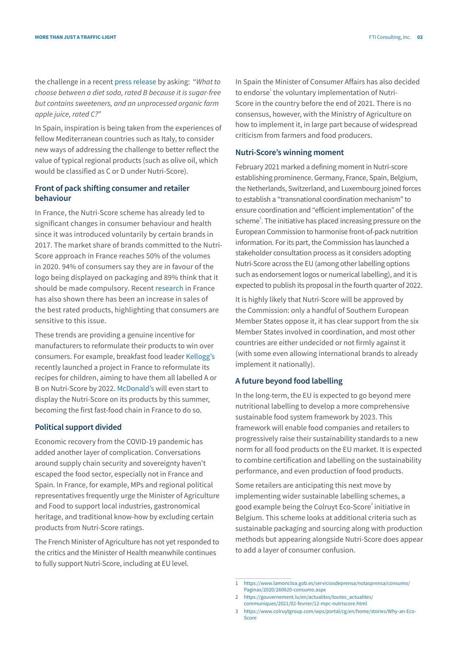the challenge in a recent [press release](https://www.irqualim.fr/actualite/17-05-2021/lirqualim-juge-laffichage-nutri-score-inadapte-aux-produits-alimentaires) by asking: "*What to choose between a diet soda, rated B because it is sugar-free but contains sweeteners, and an unprocessed organic farm apple juice, rated C?*"

In Spain, inspiration is being taken from the experiences of fellow Mediterranean countries such as Italy, to consider new ways of addressing the challenge to better reflect the value of typical regional products (such as olive oil, which would be classified as C or D under Nutri-Score).

# **Front of pack shifting consumer and retailer behaviour**

In France, the Nutri-Score scheme has already led to significant changes in consumer behaviour and health since it was introduced voluntarily by certain brands in 2017. The market share of brands committed to the Nutri-Score approach in France reaches 50% of the volumes in 2020. 94% of consumers say they are in favour of the logo being displayed on packaging and 89% think that it should be made compulsory. Recent [research](https://www.iriworldwide.com/IRI/media/IRI-Clients/International/fr/IRI_Scan_de_l-info_Nutriscore_Bilan-2020.pdf) in France has also shown there has been an increase in sales of the best rated products, highlighting that consumers are sensitive to this issue.

These trends are providing a genuine incentive for manufacturers to reformulate their products to win over consumers. For example, breakfast food leader [Kellogg's](https://www.kelloggs.fr/content/dam/europe/kelloggs_fr/pdf/2021/DP-KELLOGG) recently launched a project in France to reformulate its recipes for children, aiming to have them all labelled A or B on Nutri-Score by 2022. [McDonald's](https://www.mcdonalds.fr/espace-presse/communiques-de-presse?articleId=661601) will even start to display the Nutri-Score on its products by this summer, becoming the first fast-food chain in France to do so.

# **Political support divided**

Economic recovery from the COVID-19 pandemic has added another layer of complication. Conversations around supply chain security and sovereignty haven't escaped the food sector, especially not in France and Spain. In France, for example, MPs and regional political representatives frequently urge the Minister of Agriculture and Food to support local industries, gastronomical heritage, and traditional know-how by excluding certain products from Nutri-Score ratings.

The French Minister of Agriculture has not yet responded to the critics and the Minister of Health meanwhile continues to fully support Nutri-Score, including at EU level.

In Spain the Minister of Consumer Affairs has also decided to endorse<sup>1</sup> the voluntary implementation of Nutri-Score in the country before the end of 2021. There is no consensus, however, with the Ministry of Agriculture on how to implement it, in large part because of widespread criticism from farmers and food producers.

### **Nutri-Score's winning moment**

February 2021 marked a defining moment in Nutri-score establishing prominence. Germany, France, Spain, Belgium, the Netherlands, Switzerland, and Luxembourg joined forces to establish a "transnational coordination mechanism" to ensure coordination and "efficient implementation" of the scheme<sup>2</sup>. The initiative has placed increasing pressure on the European Commission to harmonise front-of-pack nutrition information. For its part, the Commission has launched a stakeholder consultation process as it considers adopting Nutri-Score across the EU (among other labelling options such as endorsement logos or numerical labelling), and it is expected to publish its proposal in the fourth quarter of 2022.

It is highly likely that Nutri-Score will be approved by the Commission: only a handful of Southern European Member States oppose it, it has clear support from the six Member States involved in coordination, and most other countries are either undecided or not firmly against it (with some even allowing international brands to already implement it nationally).

### **A future beyond food labelling**

In the long-term, the EU is expected to go beyond mere nutritional labelling to develop a more comprehensive sustainable food system framework by 2023. This framework will enable food companies and retailers to progressively raise their sustainability standards to a new norm for all food products on the EU market. It is expected to combine certification and labelling on the sustainability performance, and even production of food products.

Some retailers are anticipating this next move by implementing wider sustainable labelling schemes, a good example being the Colruyt Eco-Score<sup>3</sup> initiative in Belgium. This scheme looks at additional criteria such as sustainable packaging and sourcing along with production methods but appearing alongside Nutri-Score does appear to add a layer of consumer confusion.

<sup>1</sup> [https://www.lamoncloa.gob.es/serviciosdeprensa/notasprensa/consumo/](https://www.lamoncloa.gob.es/serviciosdeprensa/notasprensa/consumo/Paginas/2020/260620-consumo.aspx) [Paginas/2020/260620-consumo.aspx](https://www.lamoncloa.gob.es/serviciosdeprensa/notasprensa/consumo/Paginas/2020/260620-consumo.aspx)

<sup>2</sup> [https://gouvernement.lu/en/actualites/toutes\\_actualites/](https://gouvernement.lu/en/actualites/toutes_actualites/communiques/2021/02-fevrier/12-mpc-nutriscore.html) [communiques/2021/02-fevrier/12-mpc-nutriscore.html](https://gouvernement.lu/en/actualites/toutes_actualites/communiques/2021/02-fevrier/12-mpc-nutriscore.html)

<sup>3</sup> [https://www.colruytgroup.com/wps/portal/cg/en/home/stories/Why-an-Eco-](https://www.colruytgroup.com/wps/portal/cg/en/home/stories/Why-an-Eco-Score )[Score](https://www.colruytgroup.com/wps/portal/cg/en/home/stories/Why-an-Eco-Score )